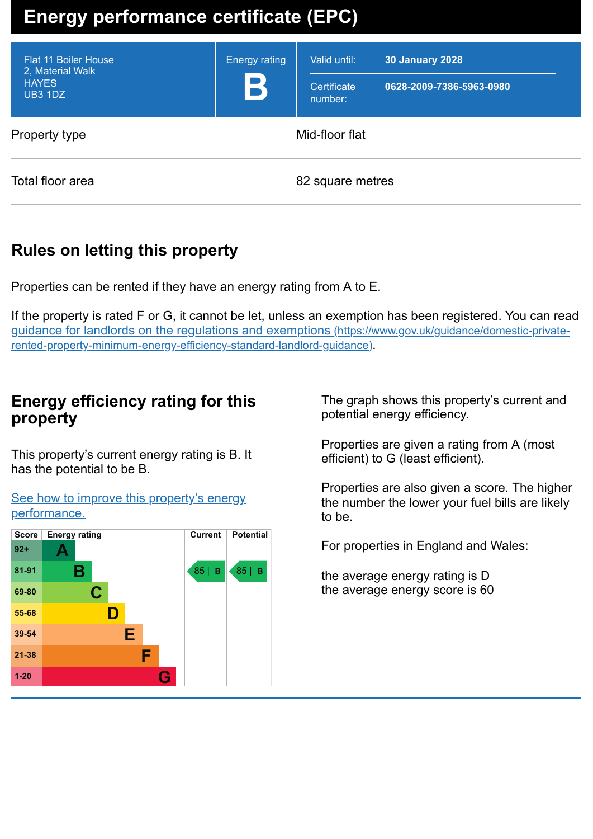# **Energy performance certificate (EPC)**

| <b>Flat 11 Boiler House</b><br>2, Material Walk<br><b>HAYES</b><br>UB3 1DZ | <b>Energy rating</b><br>B | Valid until:<br>Certificate<br>number: | <b>30 January 2028</b><br>0628-2009-7386-5963-0980 |
|----------------------------------------------------------------------------|---------------------------|----------------------------------------|----------------------------------------------------|
| Mid-floor flat<br>Property type                                            |                           |                                        |                                                    |
| Total floor area                                                           | 82 square metres          |                                        |                                                    |

## **Rules on letting this property**

Properties can be rented if they have an energy rating from A to E.

If the property is rated F or G, it cannot be let, unless an exemption has been registered. You can read guidance for landlords on the regulations and exemptions (https://www.gov.uk/guidance/domestic-private[rented-property-minimum-energy-efficiency-standard-landlord-guidance\)](https://www.gov.uk/guidance/domestic-private-rented-property-minimum-energy-efficiency-standard-landlord-guidance).

## **Energy efficiency rating for this property**

This property's current energy rating is B. It has the potential to be B.

#### See how to improve this property's energy [performance.](#page-2-0)



The graph shows this property's current and potential energy efficiency.

Properties are given a rating from A (most efficient) to G (least efficient).

Properties are also given a score. The higher the number the lower your fuel bills are likely to be.

For properties in England and Wales:

the average energy rating is D the average energy score is 60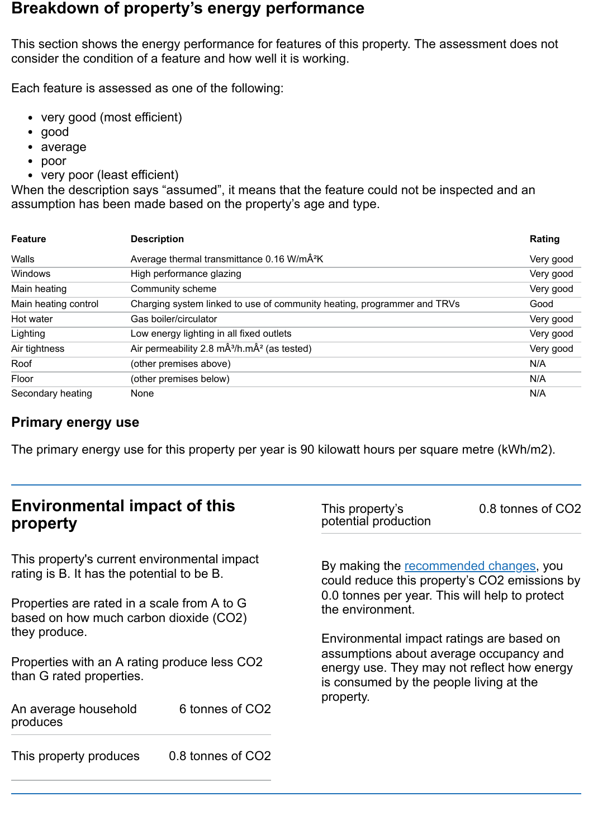### **Breakdown of property's energy performance**

This section shows the energy performance for features of this property. The assessment does not consider the condition of a feature and how well it is working.

Each feature is assessed as one of the following:

- very good (most efficient)
- good
- average
- poor
- very poor (least efficient)

When the description says "assumed", it means that the feature could not be inspected and an assumption has been made based on the property's age and type.

| <b>Feature</b>       | <b>Description</b>                                                      | Rating    |
|----------------------|-------------------------------------------------------------------------|-----------|
| Walls                | Average thermal transmittance 0.16 W/mÂ <sup>2</sup> K                  | Very good |
| <b>Windows</b>       | High performance glazing                                                | Very good |
| Main heating         | Community scheme                                                        | Very good |
| Main heating control | Charging system linked to use of community heating, programmer and TRVs | Good      |
| Hot water            | Gas boiler/circulator                                                   | Very good |
| Lighting             | Low energy lighting in all fixed outlets                                | Very good |
| Air tightness        | Air permeability 2.8 $m\hat{A}^3/h.m\hat{A}^2$ (as tested)              | Very good |
| Roof                 | (other premises above)                                                  | N/A       |
| Floor                | (other premises below)                                                  | N/A       |
| Secondary heating    | None                                                                    | N/A       |

#### **Primary energy use**

The primary energy use for this property per year is 90 kilowatt hours per square metre (kWh/m2).

| <b>Environmental impact of this</b><br>property                                                                                                                                     |                             | This property's<br>potential production                                                                                                                                        | 0.8 tonnes of CO2 |
|-------------------------------------------------------------------------------------------------------------------------------------------------------------------------------------|-----------------------------|--------------------------------------------------------------------------------------------------------------------------------------------------------------------------------|-------------------|
| This property's current environmental impact<br>rating is B. It has the potential to be B.<br>Properties are rated in a scale from A to G<br>based on how much carbon dioxide (CO2) |                             | By making the recommended changes, you<br>could reduce this property's CO2 emissions by                                                                                        |                   |
|                                                                                                                                                                                     |                             | 0.0 tonnes per year. This will help to protect<br>the environment.                                                                                                             |                   |
| they produce.<br>Properties with an A rating produce less CO2<br>than G rated properties.                                                                                           |                             | Environmental impact ratings are based on<br>assumptions about average occupancy and<br>energy use. They may not reflect how energy<br>is consumed by the people living at the |                   |
| An average household<br>produces                                                                                                                                                    | 6 tonnes of CO <sub>2</sub> | property.                                                                                                                                                                      |                   |
| This property produces                                                                                                                                                              | 0.8 tonnes of CO2           |                                                                                                                                                                                |                   |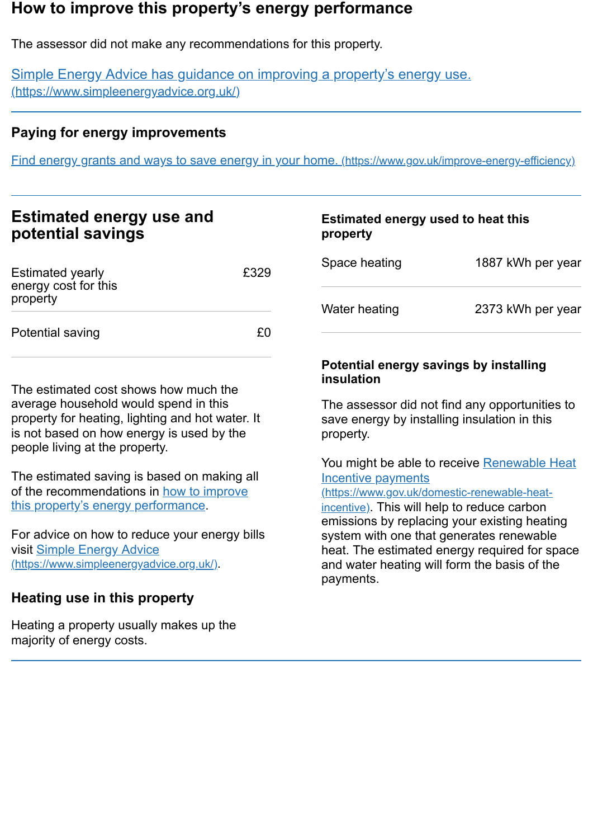### <span id="page-2-0"></span>**How to improve this property's energy performance**

The assessor did not make any recommendations for this property.

Simple Energy Advice has guidance on improving a property's energy use. [\(https://www.simpleenergyadvice.org.uk/\)](https://www.simpleenergyadvice.org.uk/)

#### **Paying for energy improvements**

Find energy grants and ways to save energy in your home. [\(https://www.gov.uk/improve-energy-efficiency\)](https://www.gov.uk/improve-energy-efficiency)

| <b>Estimated energy use and</b> |  |
|---------------------------------|--|
| potential savings               |  |

| <b>Estimated yearly</b><br>energy cost for this<br>property | £329    |
|-------------------------------------------------------------|---------|
| Potential saving                                            | $+$ (1) |

The estimated cost shows how much the average household would spend in this property for heating, lighting and hot water. It is not based on how energy is used by the people living at the property.

The estimated saving is based on making all of the [recommendations](#page-2-0) in how to improve this property's energy performance.

For advice on how to reduce your energy bills visit Simple Energy Advice [\(https://www.simpleenergyadvice.org.uk/\)](https://www.simpleenergyadvice.org.uk/).

### **Heating use in this property**

Heating a property usually makes up the majority of energy costs.

## **Estimated energy used to heat this property**

| Space heating | 1887 kWh per year |
|---------------|-------------------|
| Water heating | 2373 kWh per year |

#### **Potential energy savings by installing insulation**

The assessor did not find any opportunities to save energy by installing insulation in this property.

You might be able to receive Renewable Heat Incentive payments

[\(https://www.gov.uk/domestic-renewable-heat](https://www.gov.uk/domestic-renewable-heat-incentive)incentive). This will help to reduce carbon emissions by replacing your existing heating system with one that generates renewable heat. The estimated energy required for space and water heating will form the basis of the payments.